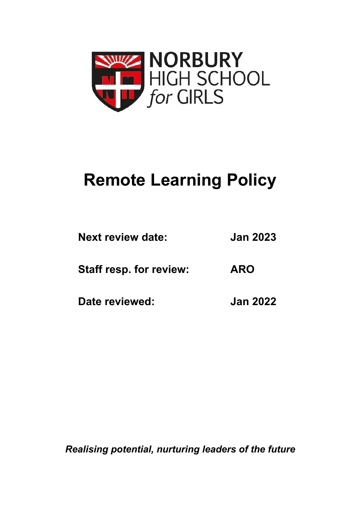

## **Remote Learning Policy**

| <b>Next review date:</b>       | <b>Jan 2023</b> |  |  |
|--------------------------------|-----------------|--|--|
| <b>Staff resp. for review:</b> | <b>ARO</b>      |  |  |
| Date reviewed:                 | <b>Jan 2022</b> |  |  |

*Realising potential, nurturing leaders of the future*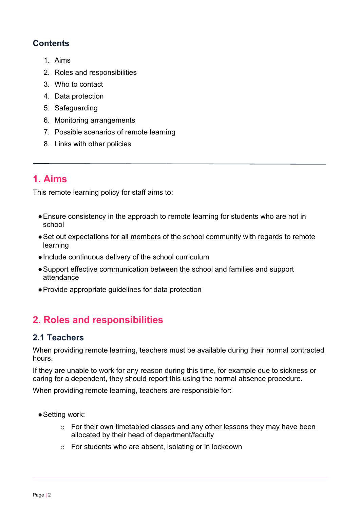#### **Contents**

- 1. Aims
- 2. Roles and responsibilities
- 3. Who to contact
- 4. Data protection
- 5. Safeguarding
- 6. Monitoring arrangements
- 7. Possible scenarios of remote learning
- 8. Links with other policies

## **1. Aims**

This remote learning policy for staff aims to:

- ●Ensure consistency in the approach to remote learning for students who are not in school
- ●Set out expectations for all members of the school community with regards to remote learning
- ●Include continuous delivery of the school curriculum
- ●Support effective communication between the school and families and support attendance
- ●Provide appropriate guidelines for data protection

## **2. Roles and responsibilities**

#### **2.1 Teachers**

When providing remote learning, teachers must be available during their normal contracted hours.

If they are unable to work for any reason during this time, for example due to sickness or caring for a dependent, they should report this using the normal absence procedure.

When providing remote learning, teachers are responsible for:

- Setting work:
	- o For their own timetabled classes and any other lessons they may have been allocated by their head of department/faculty
	- o For students who are absent, isolating or in lockdown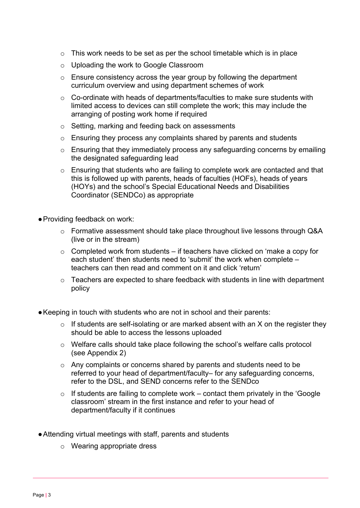- $\circ$  This work needs to be set as per the school timetable which is in place
- o Uploading the work to Google Classroom
- o Ensure consistency across the year group by following the department curriculum overview and using department schemes of work
- o Co-ordinate with heads of departments/faculties to make sure students with limited access to devices can still complete the work; this may include the arranging of posting work home if required
- o Setting, marking and feeding back on assessments
- o Ensuring they process any complaints shared by parents and students
- o Ensuring that they immediately process any safeguarding concerns by emailing the designated safeguarding lead
- o Ensuring that students who are failing to complete work are contacted and that this is followed up with parents, heads of faculties (HOFs), heads of years (HOYs) and the school's Special Educational Needs and Disabilities Coordinator (SENDCo) as appropriate

●Providing feedback on work:

- o Formative assessment should take place throughout live lessons through Q&A (live or in the stream)
- $\circ$  Completed work from students if teachers have clicked on 'make a copy for each student' then students need to 'submit' the work when complete – teachers can then read and comment on it and click 'return'
- $\circ$  Teachers are expected to share feedback with students in line with department policy
- Keeping in touch with students who are not in school and their parents:
	- $\circ$  If students are self-isolating or are marked absent with an X on the register they should be able to access the lessons uploaded
	- o Welfare calls should take place following the school's welfare calls protocol (see Appendix 2)
	- o Any complaints or concerns shared by parents and students need to be referred to your head of department/faculty– for any safeguarding concerns, refer to the DSL, and SEND concerns refer to the SENDco
	- $\circ$  If students are failing to complete work contact them privately in the 'Google classroom' stream in the first instance and refer to your head of department/faculty if it continues
- ●Attending virtual meetings with staff, parents and students
	- o Wearing appropriate dress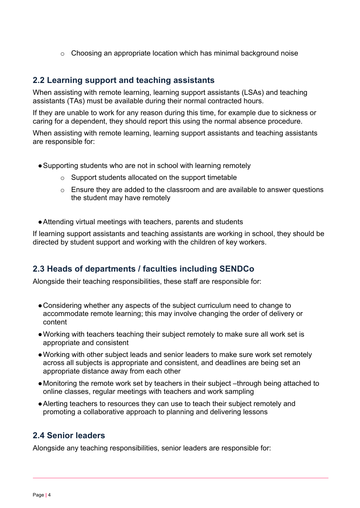o Choosing an appropriate location which has minimal background noise

#### **2.2 Learning support and teaching assistants**

When assisting with remote learning, learning support assistants (LSAs) and teaching assistants (TAs) must be available during their normal contracted hours.

If they are unable to work for any reason during this time, for example due to sickness or caring for a dependent, they should report this using the normal absence procedure.

When assisting with remote learning, learning support assistants and teaching assistants are responsible for:

- ●Supporting students who are not in school with learning remotely
	- o Support students allocated on the support timetable
	- o Ensure they are added to the classroom and are available to answer questions the student may have remotely
- ●Attending virtual meetings with teachers, parents and students

If learning support assistants and teaching assistants are working in school, they should be directed by student support and working with the children of key workers.

#### **2.3 Heads of departments / faculties including SENDCo**

Alongside their teaching responsibilities, these staff are responsible for:

- ●Considering whether any aspects of the subject curriculum need to change to accommodate remote learning; this may involve changing the order of delivery or content
- ●Working with teachers teaching their subject remotely to make sure all work set is appropriate and consistent
- ●Working with other subject leads and senior leaders to make sure work set remotely across all subjects is appropriate and consistent, and deadlines are being set an appropriate distance away from each other
- ●Monitoring the remote work set by teachers in their subject –through being attached to online classes, regular meetings with teachers and work sampling
- ●Alerting teachers to resources they can use to teach their subject remotely and promoting a collaborative approach to planning and delivering lessons

#### **2.4 Senior leaders**

Alongside any teaching responsibilities, senior leaders are responsible for: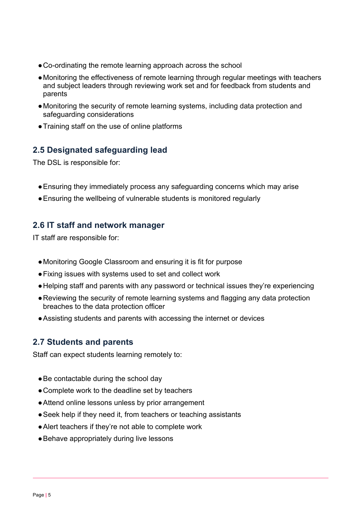- ●Co-ordinating the remote learning approach across the school
- ●Monitoring the effectiveness of remote learning through regular meetings with teachers and subject leaders through reviewing work set and for feedback from students and parents
- ●Monitoring the security of remote learning systems, including data protection and safeguarding considerations
- ●Training staff on the use of online platforms

#### **2.5 Designated safeguarding lead**

The DSL is responsible for:

- ●Ensuring they immediately process any safeguarding concerns which may arise
- ●Ensuring the wellbeing of vulnerable students is monitored regularly

#### **2.6 IT staff and network manager**

IT staff are responsible for:

- ●Monitoring Google Classroom and ensuring it is fit for purpose
- ●Fixing issues with systems used to set and collect work
- ●Helping staff and parents with any password or technical issues they're experiencing
- ●Reviewing the security of remote learning systems and flagging any data protection breaches to the data protection officer
- ●Assisting students and parents with accessing the internet or devices

#### **2.7 Students and parents**

Staff can expect students learning remotely to:

- Be contactable during the school day
- ●Complete work to the deadline set by teachers
- ●Attend online lessons unless by prior arrangement
- Seek help if they need it, from teachers or teaching assistants
- ●Alert teachers if they're not able to complete work
- Behave appropriately during live lessons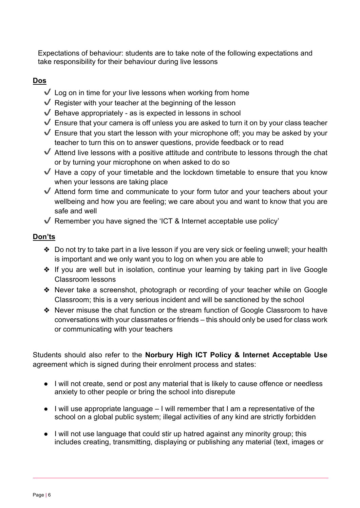Expectations of behaviour: students are to take note of the following expectations and take responsibility for their behaviour during live lessons

#### **Dos**

- $\checkmark$  Log on in time for your live lessons when working from home
- $\sqrt{\ }$  Register with your teacher at the beginning of the lesson
- $\checkmark$  Behave appropriately as is expected in lessons in school
- $\blacktriangledown$  Ensure that your camera is off unless you are asked to turn it on by your class teacher
- $\sqrt{\ }$  Ensure that you start the lesson with your microphone off; you may be asked by your teacher to turn this on to answer questions, provide feedback or to read
- $\blacktriangledown$  Attend live lessons with a positive attitude and contribute to lessons through the chat or by turning your microphone on when asked to do so
- $\blacktriangledown$  Have a copy of your timetable and the lockdown timetable to ensure that you know when your lessons are taking place
- $\blacktriangledown$  Attend form time and communicate to your form tutor and your teachers about your wellbeing and how you are feeling; we care about you and want to know that you are safe and well
- $\sqrt{\ }$  Remember you have signed the 'ICT & Internet acceptable use policy'

#### **Don'ts**

- ❖ Do not try to take part in a live lesson if you are very sick or feeling unwell; your health is important and we only want you to log on when you are able to
- ❖ If you are well but in isolation, continue your learning by taking part in live Google Classroom lessons
- ❖ Never take a screenshot, photograph or recording of your teacher while on Google Classroom; this is a very serious incident and will be sanctioned by the school
- ❖ Never misuse the chat function or the stream function of Google Classroom to have conversations with your classmates or friends – this should only be used for class work or communicating with your teachers

Students should also refer to the **Norbury High ICT Policy & Internet Acceptable Use**  agreement which is signed during their enrolment process and states:

- I will not create, send or post any material that is likely to cause offence or needless anxiety to other people or bring the school into disrepute
- I will use appropriate language I will remember that I am a representative of the school on a global public system; illegal activities of any kind are strictly forbidden
- I will not use language that could stir up hatred against any minority group; this includes creating, transmitting, displaying or publishing any material (text, images or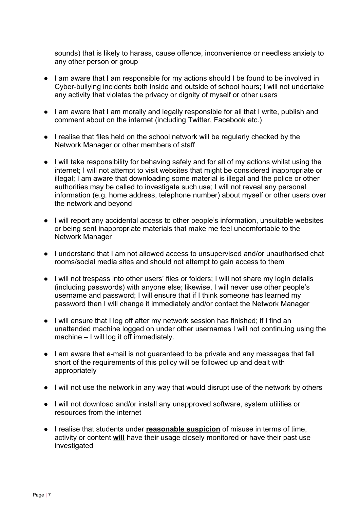sounds) that is likely to harass, cause offence, inconvenience or needless anxiety to any other person or group

- I am aware that I am responsible for my actions should I be found to be involved in Cyber-bullying incidents both inside and outside of school hours; I will not undertake any activity that violates the privacy or dignity of myself or other users
- I am aware that I am morally and legally responsible for all that I write, publish and comment about on the internet (including Twitter, Facebook etc.)
- I realise that files held on the school network will be regularly checked by the Network Manager or other members of staff
- I will take responsibility for behaving safely and for all of my actions whilst using the internet; I will not attempt to visit websites that might be considered inappropriate or illegal; I am aware that downloading some material is illegal and the police or other authorities may be called to investigate such use; I will not reveal any personal information (e.g. home address, telephone number) about myself or other users over the network and beyond
- I will report any accidental access to other people's information, unsuitable websites or being sent inappropriate materials that make me feel uncomfortable to the Network Manager
- I understand that I am not allowed access to unsupervised and/or unauthorised chat rooms/social media sites and should not attempt to gain access to them
- I will not trespass into other users' files or folders; I will not share my login details (including passwords) with anyone else; likewise, I will never use other people's username and password; I will ensure that if I think someone has learned my password then I will change it immediately and/or contact the Network Manager
- I will ensure that I log off after my network session has finished; if I find an unattended machine logged on under other usernames I will not continuing using the machine – I will log it off immediately.
- I am aware that e-mail is not guaranteed to be private and any messages that fall short of the requirements of this policy will be followed up and dealt with appropriately
- I will not use the network in any way that would disrupt use of the network by others
- I will not download and/or install any unapproved software, system utilities or resources from the internet
- I realise that students under **reasonable suspicion** of misuse in terms of time, activity or content **will** have their usage closely monitored or have their past use investigated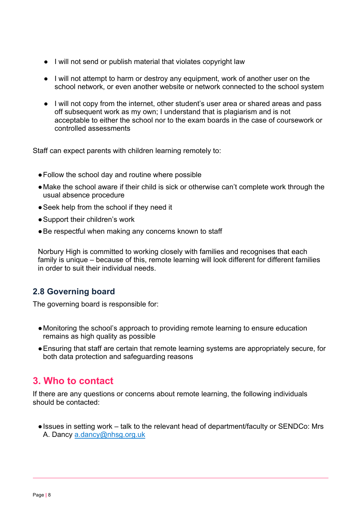- I will not send or publish material that violates copyright law
- I will not attempt to harm or destroy any equipment, work of another user on the school network, or even another website or network connected to the school system
- I will not copy from the internet, other student's user area or shared areas and pass off subsequent work as my own; I understand that is plagiarism and is not acceptable to either the school nor to the exam boards in the case of coursework or controlled assessments

Staff can expect parents with children learning remotely to:

- ●Follow the school day and routine where possible
- ●Make the school aware if their child is sick or otherwise can't complete work through the usual absence procedure
- Seek help from the school if they need it
- ●Support their children's work
- ●Be respectful when making any concerns known to staff

Norbury High is committed to working closely with families and recognises that each family is unique – because of this, remote learning will look different for different families in order to suit their individual needs.

#### **2.8 Governing board**

The governing board is responsible for:

- ●Monitoring the school's approach to providing remote learning to ensure education remains as high quality as possible
- ●Ensuring that staff are certain that remote learning systems are appropriately secure, for both data protection and safeguarding reasons

## **3. Who to contact**

If there are any questions or concerns about remote learning, the following individuals should be contacted:

●Issues in setting work – talk to the relevant head of department/faculty or SENDCo: Mrs A. Dancy a.dancy@nhsg.org.uk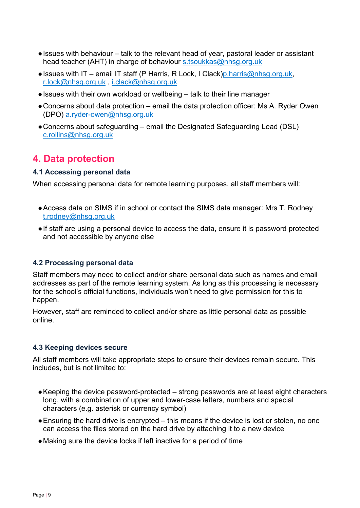- ●Issues with behaviour talk to the relevant head of year, pastoral leader or assistant head teacher (AHT) in charge of behaviour s.tsoukkas@nhsg.org.uk
- $\bullet$  Issues with IT email IT staff (P Harris, R Lock, I Clack)p. harris@nhsg.org.uk, r.lock@nhsg.org.uk , i.clack@nhsg.org.uk
- ●Issues with their own workload or wellbeing talk to their line manager
- ●Concerns about data protection email the data protection officer: Ms A. Ryder Owen (DPO) a.ryder-owen@nhsg.org.uk
- ●Concerns about safeguarding email the Designated Safeguarding Lead (DSL) c.rollins@nhsg.org.uk

## **4. Data protection**

#### **4.1 Accessing personal data**

When accessing personal data for remote learning purposes, all staff members will:

- ●Access data on SIMS if in school or contact the SIMS data manager: Mrs T. Rodney t.rodney@nhsg.org.uk
- ●If staff are using a personal device to access the data, ensure it is password protected and not accessible by anyone else

#### **4.2 Processing personal data**

Staff members may need to collect and/or share personal data such as names and email addresses as part of the remote learning system. As long as this processing is necessary for the school's official functions, individuals won't need to give permission for this to happen.

However, staff are reminded to collect and/or share as little personal data as possible online.

#### **4.3 Keeping devices secure**

All staff members will take appropriate steps to ensure their devices remain secure. This includes, but is not limited to:

- Keeping the device password-protected strong passwords are at least eight characters long, with a combination of upper and lower-case letters, numbers and special characters (e.g. asterisk or currency symbol)
- Ensuring the hard drive is encrypted this means if the device is lost or stolen, no one can access the files stored on the hard drive by attaching it to a new device
- ●Making sure the device locks if left inactive for a period of time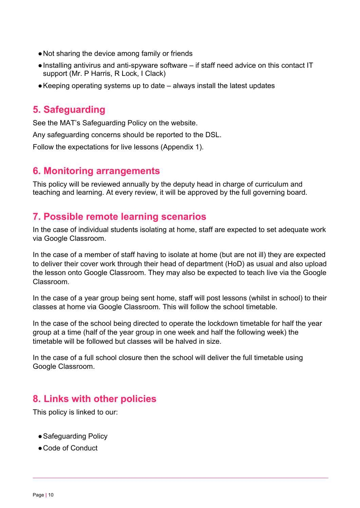- ●Not sharing the device among family or friends
- ●Installing antivirus and anti-spyware software if staff need advice on this contact IT support (Mr. P Harris, R Lock, I Clack)
- ●Keeping operating systems up to date always install the latest updates

## **5. Safeguarding**

See the MAT's Safeguarding Policy on the website.

Any safeguarding concerns should be reported to the DSL.

Follow the expectations for live lessons (Appendix 1).

#### **6. Monitoring arrangements**

This policy will be reviewed annually by the deputy head in charge of curriculum and teaching and learning. At every review, it will be approved by the full governing board.

### **7. Possible remote learning scenarios**

In the case of individual students isolating at home, staff are expected to set adequate work via Google Classroom.

In the case of a member of staff having to isolate at home (but are not ill) they are expected to deliver their cover work through their head of department (HoD) as usual and also upload the lesson onto Google Classroom. They may also be expected to teach live via the Google Classroom.

In the case of a year group being sent home, staff will post lessons (whilst in school) to their classes at home via Google Classroom. This will follow the school timetable.

In the case of the school being directed to operate the lockdown timetable for half the year group at a time (half of the year group in one week and half the following week) the timetable will be followed but classes will be halved in size.

In the case of a full school closure then the school will deliver the full timetable using Google Classroom.

## **8. Links with other policies**

This policy is linked to our:

- ●Safeguarding Policy
- ●Code of Conduct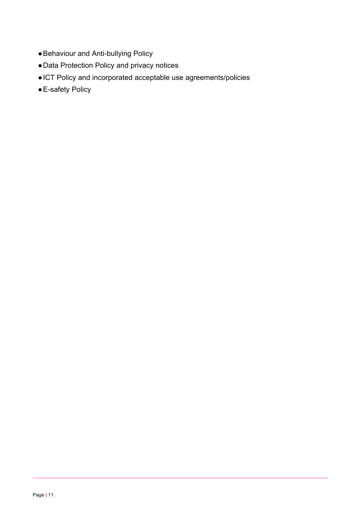- ●Behaviour and Anti-bullying Policy
- ●Data Protection Policy and privacy notices
- ●ICT Policy and incorporated acceptable use agreements/policies
- E-safety Policy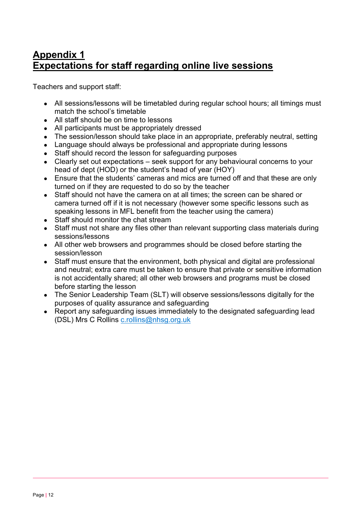## **Appendix 1 Expectations for staff regarding online live sessions**

Teachers and support staff:

- All sessions/lessons will be timetabled during regular school hours; all timings must match the school's timetable
- All staff should be on time to lessons
- All participants must be appropriately dressed
- The session/lesson should take place in an appropriate, preferably neutral, setting
- Language should always be professional and appropriate during lessons
- Staff should record the lesson for safeguarding purposes
- Clearly set out expectations seek support for any behavioural concerns to your head of dept (HOD) or the student's head of year (HOY)
- Ensure that the students' cameras and mics are turned off and that these are only turned on if they are requested to do so by the teacher
- Staff should not have the camera on at all times; the screen can be shared or camera turned off if it is not necessary (however some specific lessons such as speaking lessons in MFL benefit from the teacher using the camera)
- Staff should monitor the chat stream
- Staff must not share any files other than relevant supporting class materials during sessions/lessons
- All other web browsers and programmes should be closed before starting the session/lesson
- Staff must ensure that the environment, both physical and digital are professional and neutral; extra care must be taken to ensure that private or sensitive information is not accidentally shared; all other web browsers and programs must be closed before starting the lesson
- The Senior Leadership Team (SLT) will observe sessions/lessons digitally for the purposes of quality assurance and safeguarding
- Report any safeguarding issues immediately to the designated safeguarding lead (DSL) Mrs C Rollins c.rollins@nhsg.org.uk